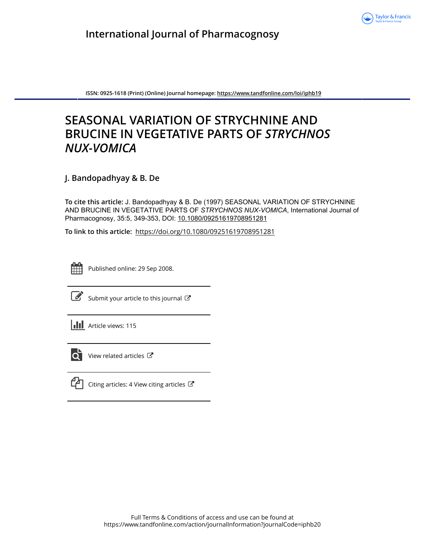

**ISSN: 0925-1618 (Print) (Online) Journal homepage:<https://www.tandfonline.com/loi/iphb19>**

# **SEASONAL VARIATION OF STRYCHNINE AND BRUCINE IN VEGETATIVE PARTS OF** *STRYCHNOS NUX-VOMICA*

**J. Bandopadhyay & B. De**

**To cite this article:** J. Bandopadhyay & B. De (1997) SEASONAL VARIATION OF STRYCHNINE AND BRUCINE IN VEGETATIVE PARTS OF *STRYCHNOS NUX-VOMICA*, International Journal of Pharmacognosy, 35:5, 349-353, DOI: [10.1080/09251619708951281](https://www.tandfonline.com/action/showCitFormats?doi=10.1080/09251619708951281)

**To link to this article:** <https://doi.org/10.1080/09251619708951281>



Published online: 29 Sep 2008.



 $\overrightarrow{S}$  [Submit your article to this journal](https://www.tandfonline.com/action/authorSubmission?journalCode=iphb20&show=instructions)  $\overrightarrow{S}$ 





 $\overline{\mathbf{C}}$  [View related articles](https://www.tandfonline.com/doi/mlt/10.1080/09251619708951281)  $\mathbf{C}$ 



 $\mathbb{C}$  [Citing articles: 4 View citing articles](https://www.tandfonline.com/doi/citedby/10.1080/09251619708951281#tabModule)  $\mathbb{C}$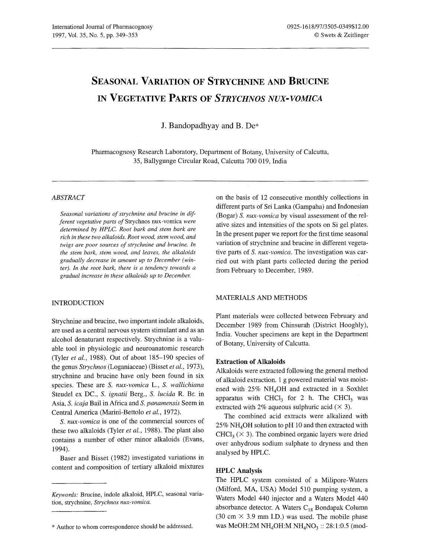## SEASONAL VARIATION OF STRYCHNINE AND BRUCINE IN VEGETATIVE PARTS OF *STRYCHNOS NUX-VOMICA*

J. Bandopadhyay and B. De\*

Pharmacognosy Research Laboratory, Department of Botany, University of Calcutta, 35, Ballygunge Circular Road, Calcutta 700 019, India

## *ABSTRACT*

Seasonal variations of strychnine and brucine in dif*ferent vegetative parts of* Strychnos nux-vomica *were determined by HPLC. Root bark and stem bark are rich in these two alkaloids. Root wood, stem wood, and twigs are poor sources of strychnine and brucine. In the stem bark, stem wood, and leaves, the alkaloids gradually decrease in amount up to December (winter). In the root bark, there is a tendency towards a gradual increase in these alkaloids up to December.*

#### INTRODUCTION

Strychnine and brucine, two important indole alkaloids, are used as a central nervous system stimulant and as an alcohol denaturant respectively. Strychnine is a valuable tool in physiologic and neuroanatomic research (Tyler *et al.,* 1988). Out of about 185-190 species of the genus *Strychnos* (Loganiaceae) (Bisset *et al., 1973),* strychnine and brucine have only been found in six species. These are S. *nux-vomica* L., S. *wallichiana* Steudel ex DC., S. *ignatii* Berg., S. *Lucida* R. Br. in Asia, S. *icaja* Bail in Africa and S. *panamensis* Seem in Central America (Marini-Bettolo *et al., 1972).*

S. *nux-vomica* is one of the commercial sources of these two alkaloids (Tyler *et al.,* 1988). The plant also contains a number of other minor alkaloids (Evans, 1994).

Baser and Bisset (1982) investigated variations in content and composition of tertiary alkaloid mixtures on the basis of 12 consecutive monthly collections in different parts of Sri Lanka (Gampaha) and Indonesian (Bogar) S. *nux-vomica* by visual assessment of the relative sizes and intensities of the spots on Si gel plates. In the present paper we report for the first time seasonal variation of strychnine and brucine in different vegetative parts of S. *nux-vomica.* The investigation was carried out with plant parts collected during the period from February to December, 1989.

#### MATERIALS AND METHODS

Plant materials were collected between February and December 1989 from Chinsurah (District Hooghly), India. Voucher specimens are kept in the Department of Botany, University of Calcutta.

#### Extraction of Alkaloids

Alkaloids were extracted following the general method of alkaloid extraction. 1 g powered material was moistened with  $25\%$  NH<sub>4</sub>OH and extracted in a Soxhlet apparatus with CHCl<sub>3</sub> for 2 h. The CHCl<sub>3</sub> was extracted with 2% aqueous sulphuric acid  $(\times 3)$ .

The combined acid extracts were alkalized with *250/0* NH40H solution to pH 10 and then extracted with  $CHCl<sub>3</sub>$  ( $\times$  3). The combined organic layers were dried over anhydrous sodium sulphate to dryness and then analysed by HPLC.

### IIPLC Analysis

The HPLC system consisted of a Milipore-Waters (Milford, MA, USA) Model 510 pumping system, a Waters Model 440 injector and a Waters Model 440 absorbance detector. A Waters  $C_{18}$  Bondapak Column (30 cm  $\times$  3.9 mm I.D.) was used. The mobile phase was MeOH:2M NH<sub>4</sub>OH:M NH<sub>4</sub>NO<sub>3</sub> :: 28:1:0.5 (mod-

*Keywords:* Brucine, indole alkaloid, HPLC, seasonal variation, strychnine, *Strychnos nux-vomica.*

<sup>\*</sup> Author to whom correspondence should be addressed.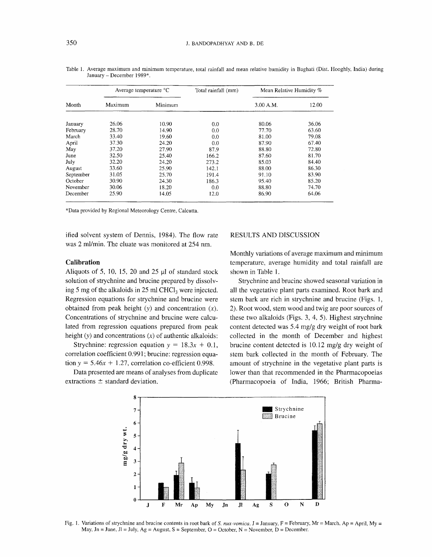| Month     | Average temperature °C |         | Total rainfall (mm) | Mean Relative Humidity % |       |
|-----------|------------------------|---------|---------------------|--------------------------|-------|
|           | Maximum                | Minimum |                     | 3.00 A.M.                | 12.00 |
| January   | 26.06                  | 10.90   | 0.0                 | 80.06                    | 36.06 |
| February  | 28.70                  | 14.90   | 0.0                 | 77.70                    | 63.60 |
| March     | 33.40                  | 19.60   | 0.0                 | 81.00                    | 79.08 |
| April     | 37.30                  | 24.20   | 0.0                 | 87.90                    | 67.40 |
| May       | 37.20                  | 27.90   | 87.9                | 88.80                    | 72.80 |
| June      | 32.50                  | 25.40   | 166.2               | 87.60                    | 81.70 |
| July      | 32.20                  | 24.20   | 273.2               | 85.03                    | 84.40 |
| August    | 33.60                  | 25.90   | 142.1               | 88.00                    | 86.30 |
| September | 31.05                  | 25.70   | 191.4               | 91.10                    | 83.90 |
| October   | 30.90                  | 24.30   | 186.3               | 95.40                    | 85.20 |
| November  | 30.06                  | 18.20   | 0.0                 | 88.80                    | 74.70 |
| December  | 25.90                  | 14 05   | 12.0                | 86.90                    | 64.06 |

Table 1. Average maximum and minimum temperature, total rainfall and mean relative humidity in Baghati (Dist. Hooghly, India) during January - December 1989\*.

\*Data provided by Regional Meteorology Centre, Calcutta.

ified solvent system of Dennis, 1984). The flow rate was 2 ml/min. The eluate was monitored at 254 nm.

## Calibration

Aliquots of 5, 10, 15, 20 and 25  $\mu$ l of standard stock solution of strychnine and brucine prepared by dissolving 5 mg of the alkaloids in 25 ml CHCl<sub>3</sub> were injected. Regression equations for strychnine and brucine were obtained from peak height  $(y)$  and concentration  $(x)$ . Concentrations of strychnine and brucine were calculated from regression equations prepared from peak height  $(y)$  and concentrations  $(x)$  of authentic alkaloids:

Strychnine: regression equation  $y = 18.3x + 0.1$ , correlation coefficient 0.991; brucine: regression equation  $y = 5.46x + 1.27$ , correlation co-efficient 0.998.

Data presented are means of analyses from duplicate extractions ± standard deviation.

### RESULTS AND DISCUSSION

Monthly variations of average maximum and minimum temperature, average humidity and total rainfall are shown in Table 1.

Strychnine and brucine showed seasonal variation in all the vegetative plant parts examined. Root bark and stem bark are rich in strychnine and brucine (Figs. 1, 2). Root wood, stem wood and twig are poor sources of these two alkaloids (Figs. 3, 4, 5). Highest strychnine content detected was 5.4 mg/g dry weight of root bark collected in the month of December and highest brucine content detected is 10.12 mg/g dry weight of stem bark collected in the month of February. The amount of strychnine in the vegetative plant parts is lower than that recommended in the Pharmacopoeias (Pharmacopoeia of India, 1966; British Pharma-



Fig. 1. Variations of strychnine and brucine contents in root bark of S. *nux-vomica*. J = January, F = February, Mr = March, Ap = April, My = May,  $Jn = June$ ,  $Jl = July$ ,  $Ag = August$ ,  $S = September$ ,  $O = October$ ,  $N = November$ ,  $D = December$ .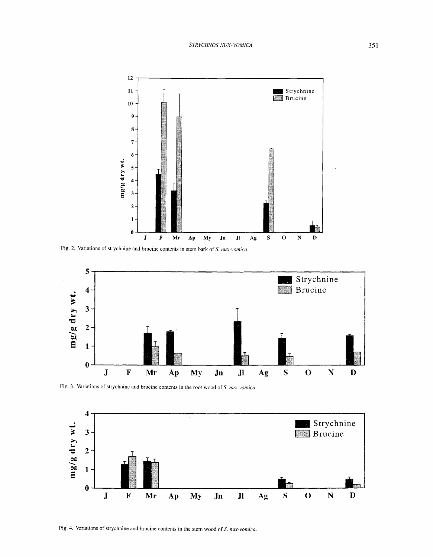

Fig. 2. Variations of strychnine and brucine contents in stem bark of S. nux-vomica.



Fig. 3. Variations of strychnine and brucine contents in the root wood of S. nux-vomica.



Fig. 4. Variations of strychnine and brucine contents in the stem wood of S. nux-vomica.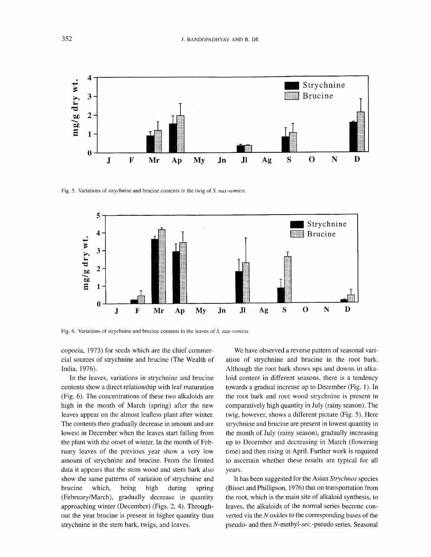

Fig. S. Variations of strychnine and brucine contents in the twig of S. *nux-vomica.*



Fig. 6. Variations of strychnine and brucine contents in the leaves of S. *nux-vomica.*

copoeia, 1973) for seeds which are the chief commercial sources of strychnine and brucine (The Wealth of India, 1976).

In the leaves, variations in strychnine and brucine contents show a direct relationship with leaf maturation (Fig. 6). The concentrations of these two alkaloids are high in the month of March (spring) after the new leaves appear on the almost leafless plant after winter. The contents then gradually decrease in amount and are lowest in December when the leaves start falling from the plant with the onset of winter. In the month of February leaves of the previous year show a very low amount of strychnine and brucine. From the limited data it appears that the stem wood and stem bark also show the same patterns of variation of strychnine and brucine which, being high during spring (FebruarylMarch), gradually decrease in quantity approaching winter (December) (Figs. 2, 4). Throughout the year brucine is present in higher quantity than strychnine in the stem bark, twigs, and leaves.

We have observed a reverse pattern of seasonal variation of strychnine and brucine in the root bark. Although the root bark shows ups and downs in alkaloid content in different seasons, there is a tendency towards a gradual increase up to December (Fig. 1). In the root bark and root wood strychnine is present in comparatively high quantity in July (rainy season). The twig, however, shows a different picture (Fig. 5). Here strychnine and brucine are present in lowest quantity in the month of July (rainy season), gradually increasing up to December and decreasing in March (flowering time) and then rising in April. Further work is required to ascertain whether these results are typical for all years.

It has been suggested for the Asian *Strychnos* species (Bisset and Phillipson, 1976) that on transportation from the root, which is the main site of alkaloid synthesis, to leaves, the alkaloids of the normal series become converted via the *N* oxides to the corresponding bases of the pseudo- and then *N-methyl-sec.-pseudo* series. Seasonal